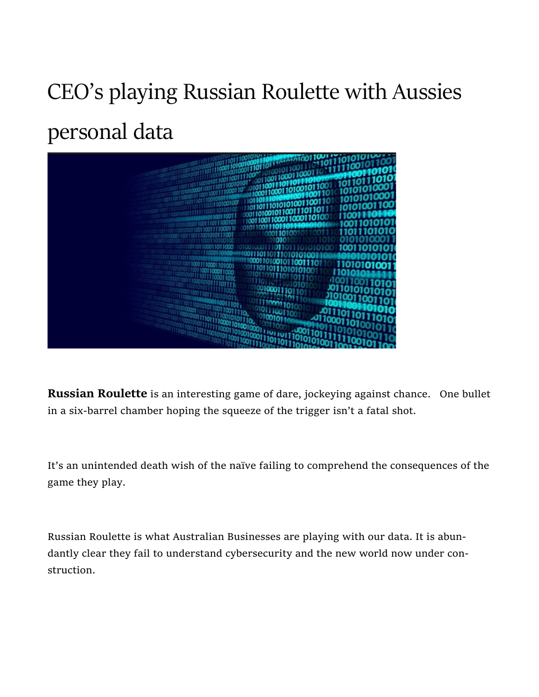## CEO's playing Russian Roulette with Aussies personal data



Russian Roulette is an interesting game of dare, jockeying against chance. One bullet in a six-barrel chamber hoping the squeeze of the trigger isn't a fatal shot.

It's an unintended death wish of the naïve failing to comprehend the consequences of the game they play.

Russian Roulette is what Australian Businesses are playing with our data. It is abundantly clear they fail to understand cybersecurity and the new world now under construction.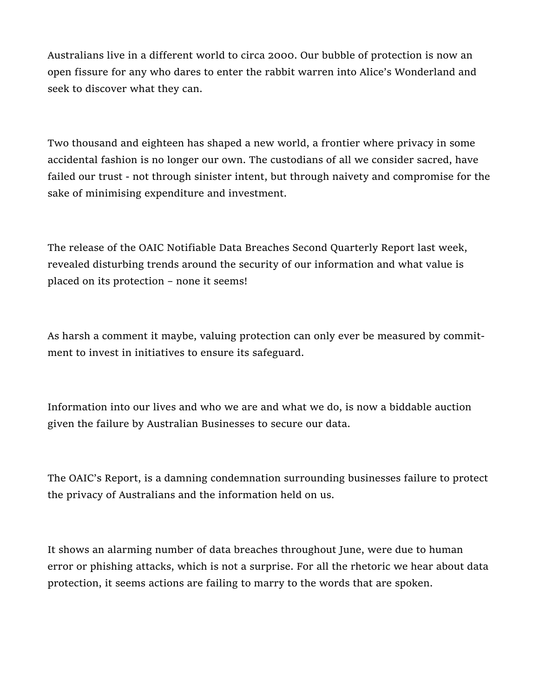Australians live in a different world to circa 2000. Our bubble of protection is now an open fissure for any who dares to enter the rabbit warren into Alice's Wonderland and seek to discover what they can.

Two thousand and eighteen has shaped a new world, a frontier where privacy in some accidental fashion is no longer our own. The custodians of all we consider sacred, have failed our trust - not through sinister intent, but through naivety and compromise for the sake of minimising expenditure and investment.

The release of the OAIC Notifiable Data Breaches Second Quarterly Report last week, revealed disturbing trends around the security of our information and what value is placed on its protection – none it seems!

As harsh a comment it maybe, valuing protection can only ever be measured by commitment to invest in initiatives to ensure its safeguard.

Information into our lives and who we are and what we do, is now a biddable auction given the failure by Australian Businesses to secure our data.

The OAIC's Report, is a damning condemnation surrounding businesses failure to protect the privacy of Australians and the information held on us.

It shows an alarming number of data breaches throughout June, were due to human error or phishing attacks, which is not a surprise. For all the rhetoric we hear about data protection, it seems actions are failing to marry to the words that are spoken.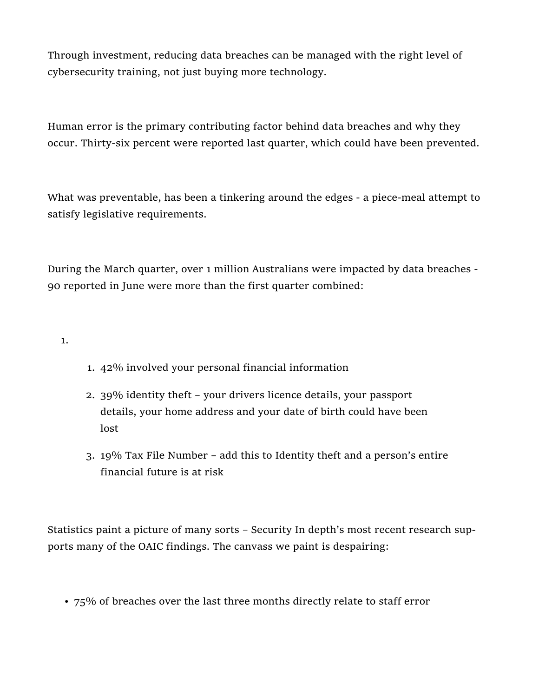Through investment, reducing data breaches can be managed with the right level of cybersecurity training, not just buying more technology.

Human error is the primary contributing factor behind data breaches and why they occur. Thirty-six percent were reported last quarter, which could have been prevented.

What was preventable, has been a tinkering around the edges - a piece-meal attempt to satisfy legislative requirements.

During the March quarter, over 1 million Australians were impacted by data breaches - 90 reported in June were more than the first quarter combined:

1.

- 1. 42% involved your personal financial information
- 2. 39% identity theft your drivers licence details, your passport details, your home address and your date of birth could have been lost
- 3. 19% Tax File Number add this to Identity theft and a person's entire financial future is at risk

Statistics paint a picture of many sorts – Security In depth's most recent research supports many of the OAIC findings. The canvass we paint is despairing:

• 75% of breaches over the last three months directly relate to staff error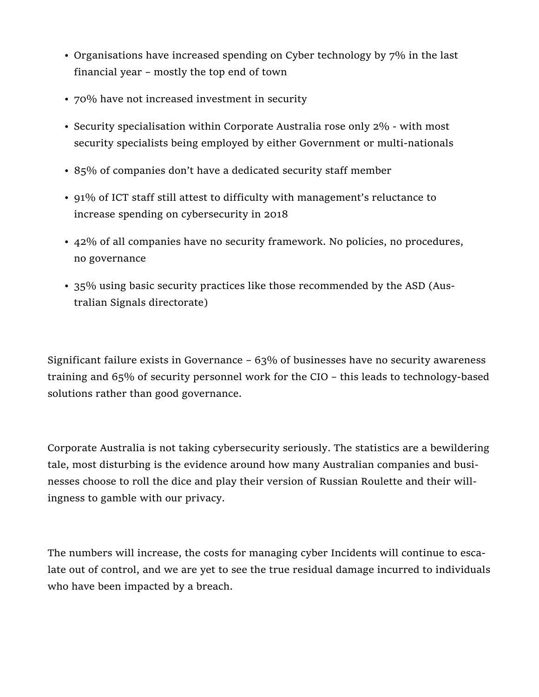- Organisations have increased spending on Cyber technology by 7% in the last financial year – mostly the top end of town
- 70% have not increased investment in security
- Security specialisation within Corporate Australia rose only 2% with most security specialists being employed by either Government or multi-nationals
- 85% of companies don't have a dedicated security staff member
- 91% of ICT staff still attest to difficulty with management's reluctance to increase spending on cybersecurity in 2018
- 42% of all companies have no security framework. No policies, no procedures, no governance
- 35% using basic security practices like those recommended by the ASD (Australian Signals directorate)

Significant failure exists in Governance – 63% of businesses have no security awareness training and 65% of security personnel work for the CIO – this leads to technology-based solutions rather than good governance.

Corporate Australia is not taking cybersecurity seriously. The statistics are a bewildering tale, most disturbing is the evidence around how many Australian companies and businesses choose to roll the dice and play their version of Russian Roulette and their willingness to gamble with our privacy.

The numbers will increase, the costs for managing cyber Incidents will continue to escalate out of control, and we are yet to see the true residual damage incurred to individuals who have been impacted by a breach.